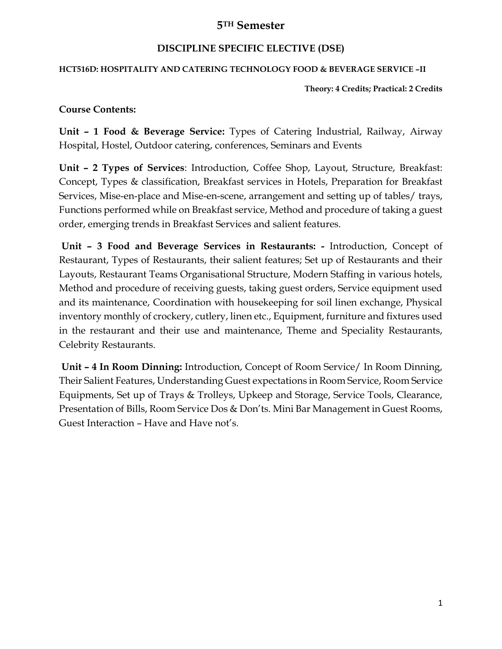## **5TH Semester**

### **DISCIPLINE SPECIFIC ELECTIVE (DSE)**

#### **HCT516D: HOSPITALITY AND CATERING TECHNOLOGY FOOD & BEVERAGE SERVICE –II**

**Theory: 4 Credits; Practical: 2 Credits**

#### **Course Contents:**

**Unit – 1 Food & Beverage Service:** Types of Catering Industrial, Railway, Airway Hospital, Hostel, Outdoor catering, conferences, Seminars and Events

**Unit – 2 Types of Services**: Introduction, Coffee Shop, Layout, Structure, Breakfast: Concept, Types & classification, Breakfast services in Hotels, Preparation for Breakfast Services, Mise-en-place and Mise-en-scene, arrangement and setting up of tables/ trays, Functions performed while on Breakfast service, Method and procedure of taking a guest order, emerging trends in Breakfast Services and salient features.

**Unit – 3 Food and Beverage Services in Restaurants: -** Introduction, Concept of Restaurant, Types of Restaurants, their salient features; Set up of Restaurants and their Layouts, Restaurant Teams Organisational Structure, Modern Staffing in various hotels, Method and procedure of receiving guests, taking guest orders, Service equipment used and its maintenance, Coordination with housekeeping for soil linen exchange, Physical inventory monthly of crockery, cutlery, linen etc., Equipment, furniture and fixtures used in the restaurant and their use and maintenance, Theme and Speciality Restaurants, Celebrity Restaurants.

**Unit – 4 In Room Dinning:** Introduction, Concept of Room Service/ In Room Dinning, Their Salient Features, Understanding Guest expectations in Room Service, Room Service Equipments, Set up of Trays & Trolleys, Upkeep and Storage, Service Tools, Clearance, Presentation of Bills, Room Service Dos & Don'ts. Mini Bar Management in Guest Rooms, Guest Interaction – Have and Have not's.